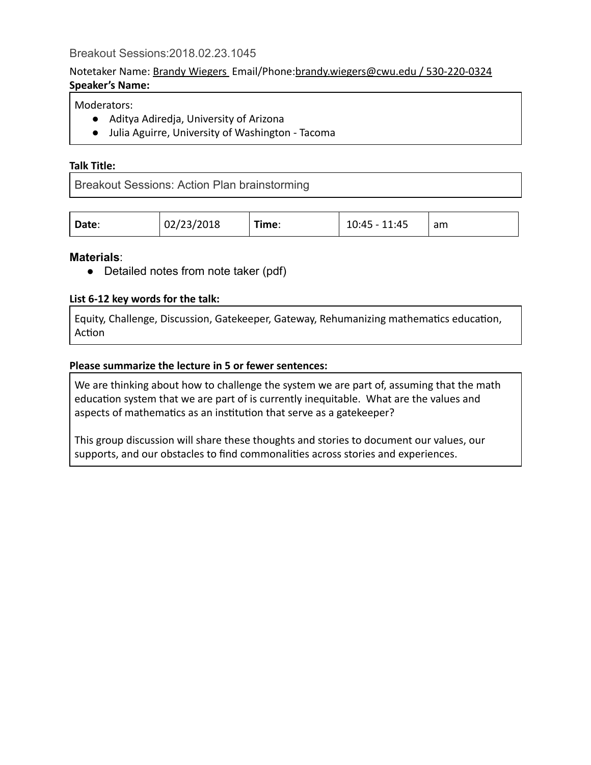## Notetaker Name: Brandy Wiegers Email/Phone: brandy.wiegers@cwu.edu / 530-220-0324 **Speaker's Name:**

## Moderators:

- Aditya Adiredja, University of Arizona
- Julia Aguirre, University of Washington ‑ Tacoma

#### **Talk Title:**

Breakout Sessions: Action Plan brainstorming

| 02/23/2018<br>Date: | Time: | 11:45<br>ר ביי<br>$\sim$<br>LU.43 | am |
|---------------------|-------|-----------------------------------|----|
|---------------------|-------|-----------------------------------|----|

### **Materials** :

• Detailed notes from note taker (pdf)

#### **List 6‑12 key words for the talk:**

Equity, Challenge, Discussion, Gatekeeper, Gateway, Rehumanizing mathematics education, Action

#### **Please summarize the lecture in 5 or fewer sentences:**

We are thinking about how to challenge the system we are part of, assuming that the math education system that we are part of is currently inequitable. What are the values and aspects of mathematics as an institution that serve as a gatekeeper?

This group discussion will share these thoughts and stories to document our values, our supports, and our obstacles to find commonalities across stories and experiences.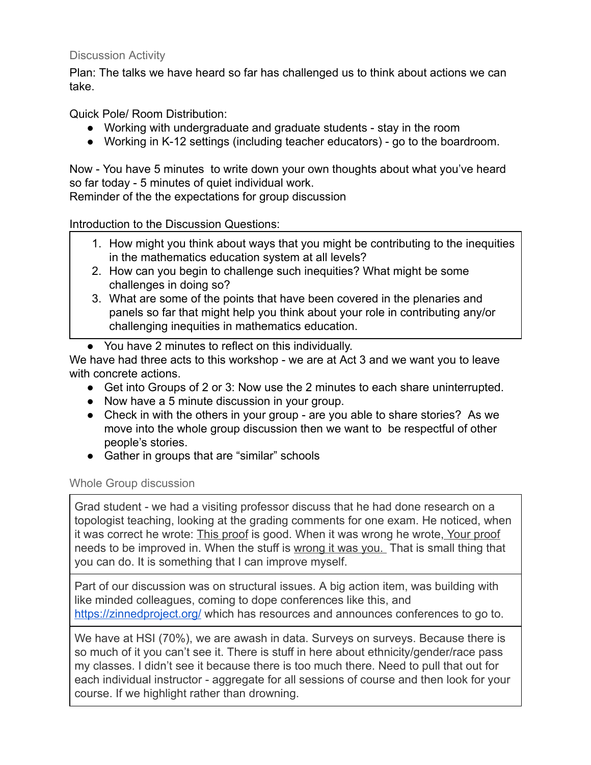# Discussion Activity

Plan: The talks we have heard so far has challenged us to think about actions we can take.

Quick Pole/ Room Distribution:

- Working with undergraduate and graduate students stay in the room
- Working in K-12 settings (including teacher educators) go to the boardroom.

Now - You have 5 minutes to write down your own thoughts about what you've heard so far today - 5 minutes of quiet individual work.

Reminder of the the expectations for group discussion

# Introduction to the Discussion Questions:

- 1. How might you think about ways that you might be contributing to the inequities in the mathematics education system at all levels?
- 2. How can you begin to challenge such inequities? What might be some challenges in doing so?
- 3. What are some of the points that have been covered in the plenaries and panels so far that might help you think about your role in contributing any/or challenging inequities in mathematics education.

● You have 2 minutes to reflect on this individually. We have had three acts to this workshop - we are at Act 3 and we want you to leave with concrete actions.

- Get into Groups of 2 or 3: Now use the 2 minutes to each share uninterrupted.
- Now have a 5 minute discussion in your group.
- Check in with the others in your group are you able to share stories? As we move into the whole group discussion then we want to be respectful of other people's stories.
- Gather in groups that are "similar" schools

## Whole Group discussion

Grad student - we had a visiting professor discuss that he had done research on a topologist teaching, looking at the grading comments for one exam. He noticed, when it was correct he wrote: This proof is good. When it was wrong he wrote, Your proof needs to be improved in. When the stuff is wrong it was you. That is small thing that you can do. It is something that I can improve myself.

Part of our discussion was on structural issues. A big action item, was building with like minded colleagues, coming to dope conferences like this, and https://zinnedproject.org/ which has resources and announces conferences to go to.

We have at HSI (70%), we are awash in data. Surveys on surveys. Because there is so much of it you can't see it. There is stuff in here about ethnicity/gender/race pass my classes. I didn't see it because there is too much there. Need to pull that out for each individual instructor - aggregate for all sessions of course and then look for your course. If we highlight rather than drowning.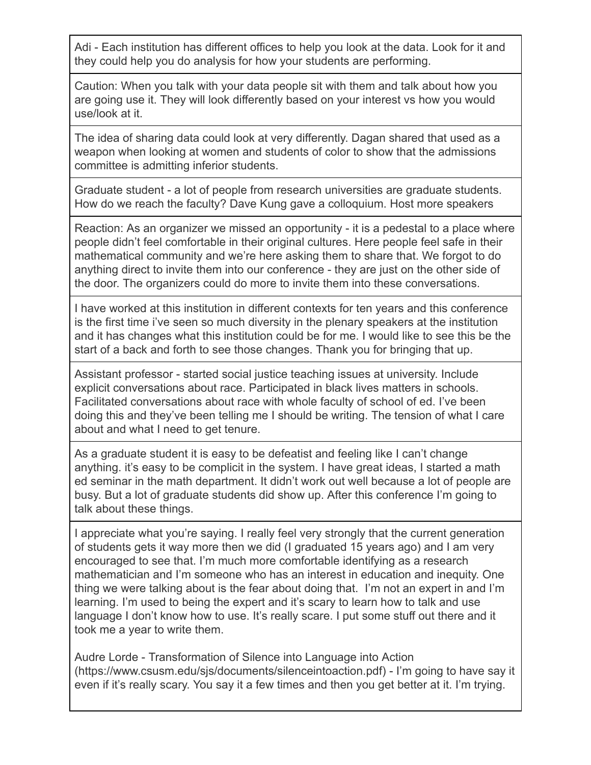Adi - Each institution has different offices to help you look at the data. Look for it and they could help you do analysis for how your students are performing.

Caution: When you talk with your data people sit with them and talk about how you are going use it. They will look differently based on your interest vs how you would use/look at it.

The idea of sharing data could look at very differently. Dagan shared that used as a weapon when looking at women and students of color to show that the admissions committee is admitting inferior students.

Graduate student a lot of people from research universities are graduate students. How do we reach the faculty? Dave Kung gave a colloquium. Host more speakers

Reaction: As an organizer we missed an opportunity - it is a pedestal to a place where people didn't feel comfortable in their original cultures. Here people feel safe in their mathematical community and we're here asking them to share that. We forgot to do anything direct to invite them into our conference they are just on the other side of the door. The organizers could do more to invite them into these conversations.

I have worked at this institution in different contexts for ten years and this conference is the first time i've seen so much diversity in the plenary speakers at the institution and it has changes what this institution could be for me. I would like to see this be the start of a back and forth to see those changes. Thank you for bringing that up.

Assistant professor - started social justice teaching issues at university. Include explicit conversations about race. Participated in black lives matters in schools. Facilitated conversations about race with whole faculty of school of ed. I've been doing this and they've been telling me I should be writing. The tension of what I care about and what I need to get tenure.

As a graduate student it is easy to be defeatist and feeling like I can't change anything. it's easy to be complicit in the system. I have great ideas, I started a math ed seminar in the math department. It didn't work out well because a lot of people are busy. But a lot of graduate students did show up. After this conference I'm going to talk about these things.

I appreciate what you're saying. I really feel very strongly that the current generation of students gets it way more then we did (I graduated 15 years ago) and I am very encouraged to see that. I'm much more comfortable identifying as a research mathematician and I'm someone who has an interest in education and inequity. One thing we were talking about is the fear about doing that. I'm not an expert in and I'm learning. I'm used to being the expert and it's scary to learn how to talk and use language I don't know how to use. It's really scare. I put some stuff out there and it took me a year to write them.

Audre Lorde Transformation of Silence into Language into Action (https://www.csusm.edu/sjs/documents/silenceintoaction.pdf) I'm going to have say it even if it's really scary. You say it a few times and then you get better at it. I'm trying.